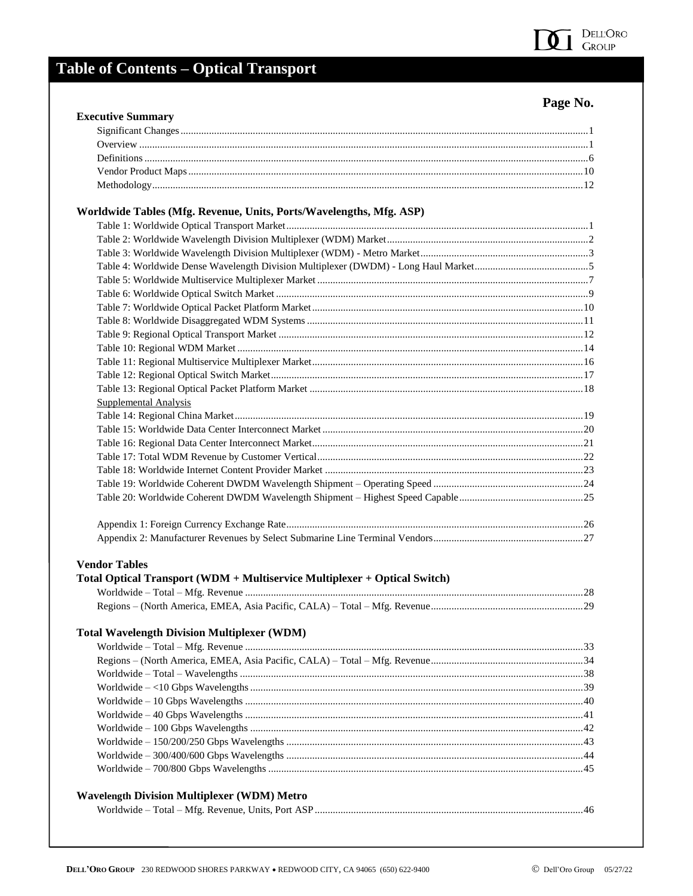

# **Table of Contents - Optical Transport**

| IJ<br>۱O۴<br>ы | NN<br>۰. |
|----------------|----------|
|----------------|----------|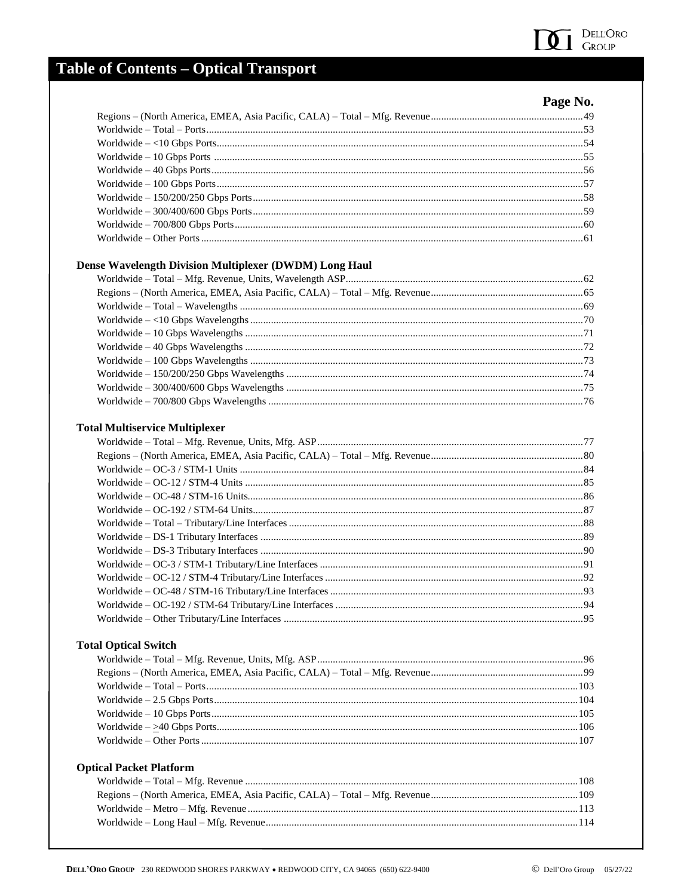

## **Table of Contents - Optical Transport**

| аор | NO. |  |
|-----|-----|--|
|     |     |  |

| <b>Dense Wavelength Division Multiplexer (DWDM) Long Haul</b> |    |
|---------------------------------------------------------------|----|
|                                                               |    |
|                                                               |    |
|                                                               |    |
|                                                               |    |
|                                                               |    |
| $Worldwide - 40 Gbps Wave lengths.$                           |    |
|                                                               |    |
|                                                               |    |
|                                                               |    |
|                                                               |    |
|                                                               |    |
| <b>Total Multiservice Multiplexer</b>                         |    |
| Worldwide - Total - Mfg Revenue Units Mfg ASP                 | 77 |

#### T<sub>0</sub>

### **Total Optical Switch**

| <b>Optical Packet Platform</b> |  |
|--------------------------------|--|
|                                |  |
|                                |  |
|                                |  |
|                                |  |
|                                |  |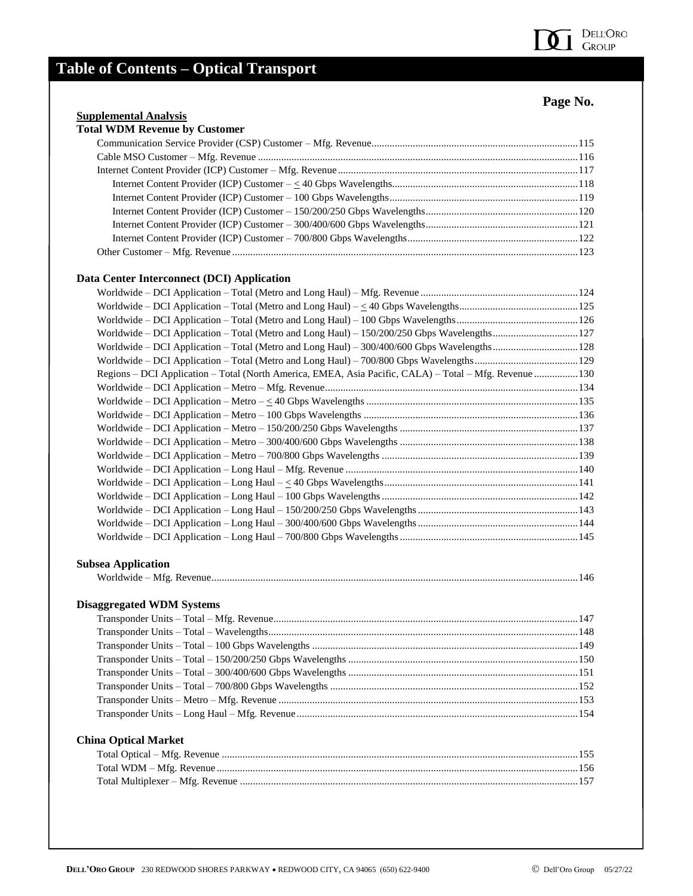# **Table of Contents – Optical Transport**

## **Page No.**

#### **Supplemental Analysis**

#### **Data Center Interconnect (DCI) Application**

| Regions - DCI Application - Total (North America, EMEA, Asia Pacific, CALA) - Total - Mfg. Revenue 130                                                                                                                                                                                                                                                                                                                                                                                             |  |
|----------------------------------------------------------------------------------------------------------------------------------------------------------------------------------------------------------------------------------------------------------------------------------------------------------------------------------------------------------------------------------------------------------------------------------------------------------------------------------------------------|--|
|                                                                                                                                                                                                                                                                                                                                                                                                                                                                                                    |  |
|                                                                                                                                                                                                                                                                                                                                                                                                                                                                                                    |  |
| $\textbf{Worldwide} - \textbf{DCI}\text{ Application} - \textbf{Metro} - 100\text{ Gbps}\text{ Wavelengths}\dots\hspace{-.5cm}\dots\hspace{-.5cm}\dots\hspace{-.5cm}\dots\hspace{-.5cm}\dots\hspace{-.5cm}\dots\hspace{-.5cm}\dots\hspace{-.5cm}\dots\hspace{-.5cm}\dots\hspace{-.5cm}\dots\hspace{-.5cm}\dots\hspace{-.5cm}\dots\hspace{-.5cm}\dots\hspace{-.5cm}\dots\hspace{-.5cm}\dots\hspace{-.5cm}\dots\hspace{-.5cm}\dots\hspace{-.5cm}\dots\hspace{-.5cm}\dots\hspace{-.5cm}\dots\hspace{$ |  |
|                                                                                                                                                                                                                                                                                                                                                                                                                                                                                                    |  |
|                                                                                                                                                                                                                                                                                                                                                                                                                                                                                                    |  |
|                                                                                                                                                                                                                                                                                                                                                                                                                                                                                                    |  |
|                                                                                                                                                                                                                                                                                                                                                                                                                                                                                                    |  |
|                                                                                                                                                                                                                                                                                                                                                                                                                                                                                                    |  |
|                                                                                                                                                                                                                                                                                                                                                                                                                                                                                                    |  |
|                                                                                                                                                                                                                                                                                                                                                                                                                                                                                                    |  |
|                                                                                                                                                                                                                                                                                                                                                                                                                                                                                                    |  |
|                                                                                                                                                                                                                                                                                                                                                                                                                                                                                                    |  |
|                                                                                                                                                                                                                                                                                                                                                                                                                                                                                                    |  |

#### **Subsea Application**

|--|--|

#### **Disaggregated WDM Systems**

#### **China Optical Market**